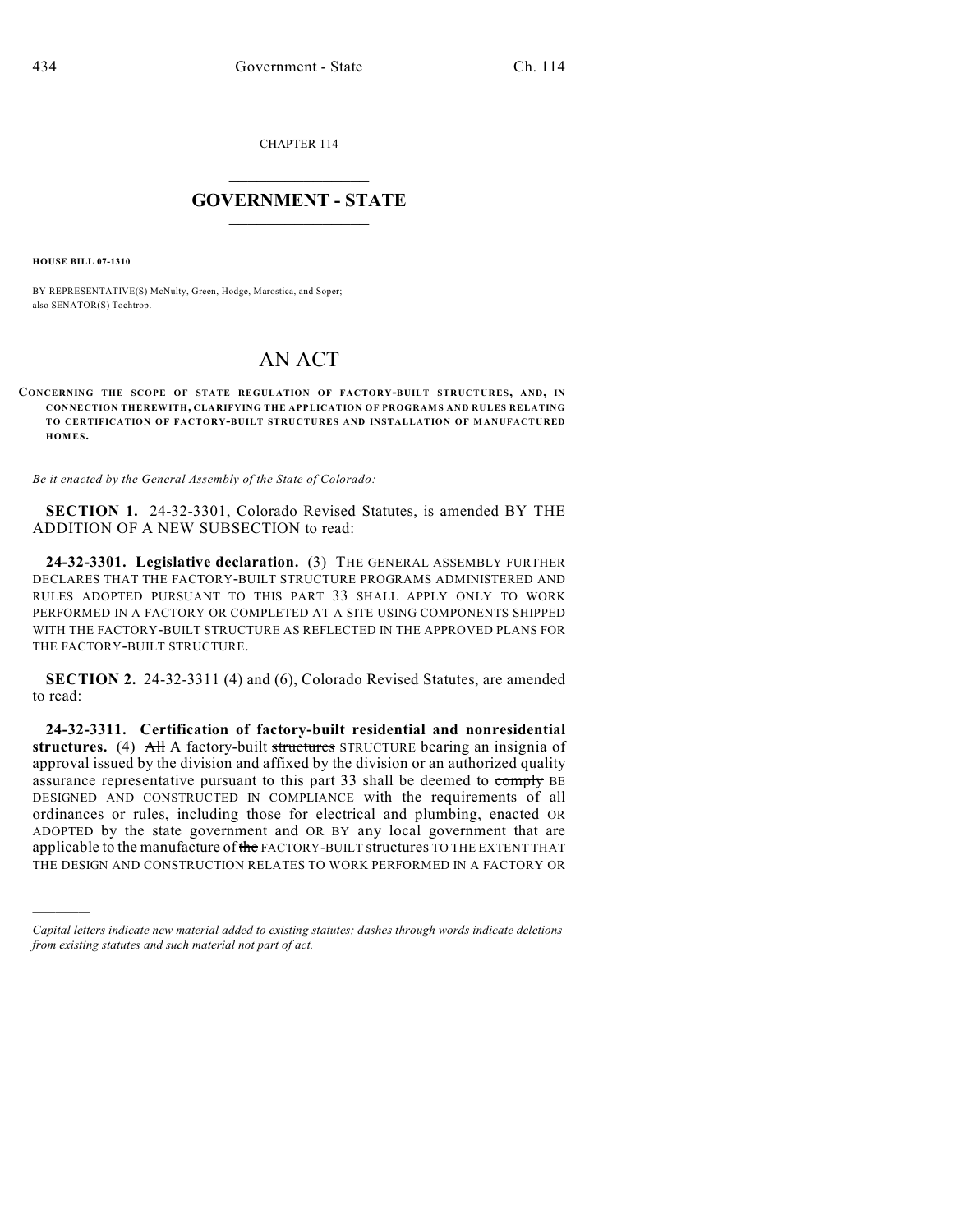CHAPTER 114

## $\overline{\phantom{a}}$  . The set of the set of the set of the set of the set of the set of the set of the set of the set of the set of the set of the set of the set of the set of the set of the set of the set of the set of the set o **GOVERNMENT - STATE**  $\_$

**HOUSE BILL 07-1310**

)))))

BY REPRESENTATIVE(S) McNulty, Green, Hodge, Marostica, and Soper; also SENATOR(S) Tochtrop.

## AN ACT

**CONCERNING THE SCOPE OF STATE REGULATION OF FACTORY-BUILT STRUCTURES, AND, IN CONNECTION THEREWITH, CLARIFYING THE APPLICATION OF PROGRAMS AND RULES RELATING TO CERTIFICATION OF FACTORY-BUILT STRUCTURES AND INSTALLATION OF MANUFACTURED HOM ES.**

*Be it enacted by the General Assembly of the State of Colorado:*

**SECTION 1.** 24-32-3301, Colorado Revised Statutes, is amended BY THE ADDITION OF A NEW SUBSECTION to read:

**24-32-3301. Legislative declaration.** (3) THE GENERAL ASSEMBLY FURTHER DECLARES THAT THE FACTORY-BUILT STRUCTURE PROGRAMS ADMINISTERED AND RULES ADOPTED PURSUANT TO THIS PART 33 SHALL APPLY ONLY TO WORK PERFORMED IN A FACTORY OR COMPLETED AT A SITE USING COMPONENTS SHIPPED WITH THE FACTORY-BUILT STRUCTURE AS REFLECTED IN THE APPROVED PLANS FOR THE FACTORY-BUILT STRUCTURE.

**SECTION 2.** 24-32-3311 (4) and (6), Colorado Revised Statutes, are amended to read:

**24-32-3311. Certification of factory-built residential and nonresidential structures.** (4) All A factory-built structures STRUCTURE bearing an insignia of approval issued by the division and affixed by the division or an authorized quality assurance representative pursuant to this part 33 shall be deemed to comply BE DESIGNED AND CONSTRUCTED IN COMPLIANCE with the requirements of all ordinances or rules, including those for electrical and plumbing, enacted OR ADOPTED by the state government and OR BY any local government that are applicable to the manufacture of the FACTORY-BUILT structures TO THE EXTENT THAT THE DESIGN AND CONSTRUCTION RELATES TO WORK PERFORMED IN A FACTORY OR

*Capital letters indicate new material added to existing statutes; dashes through words indicate deletions from existing statutes and such material not part of act.*